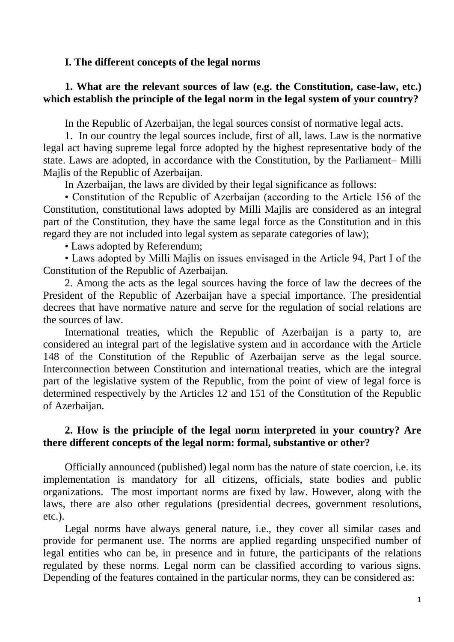#### **I. The different concepts of the legal norms**

## **1. What are the relevant sources of law (e.g. the Constitution, case-law, etc.) which establish the principle of the legal norm in the legal system of your country?**

In the Republic of Azerbaijan, the legal sources consist of normative legal acts.

1. In our country the legal sources include, first of all, laws. Law is the normative legal act having supreme legal force adopted by the highest representative body of the state. Laws are adopted, in accordance with the Constitution, by the Parliament– Milli Majlis of the Republic of Azerbaijan.

In Azerbaijan, the laws are divided by their legal significance as follows:

• Constitution of the Republic of Azerbaijan (according to the Article 156 of the Constitution, constitutional laws adopted by Milli Majlis are considered as an integral part of the Constitution, they have the same legal force as the Constitution and in this regard they are not included into legal system as separate categories of law);

• Laws adopted by Referendum;

• Laws adopted by Milli Majlis on issues envisaged in the Article 94, Part I of the Constitution of the Republic of Azerbaijan.

2. Among the acts as the legal sources having the force of law the decrees of the President of the Republic of Azerbaijan have a special importance. The presidential decrees that have normative nature and serve for the regulation of social relations are the sources of law.

International treaties, which the Republic of Azerbaijan is a party to, are considered an integral part of the legislative system and in accordance with the Article 148 of the Constitution of the Republic of Azerbaijan serve as the legal source. Interconnection between Constitution and international treaties, which are the integral part of the legislative system of the Republic, from the point of view of legal force is determined respectively by the Articles 12 and 151 of the Constitution of the Republic of Azerbaijan.

## **2. How is the principle of the legal norm interpreted in your country? Are there different concepts of the legal norm: formal, substantive or other?**

Officially announced (published) legal norm has the nature of state coercion, i.e. its implementation is mandatory for all citizens, officials, state bodies and public organizations. The most important norms are fixed by law. However, along with the laws, there are also other regulations (presidential decrees, government resolutions, etc.).

Legal norms have always general nature, i.e., they cover all similar cases and provide for permanent use. The norms are applied regarding unspecified number of legal entities who can be, in presence and in future, the participants of the relations regulated by these norms. Legal norm can be classified according to various signs. Depending of the features contained in the particular norms, they can be considered as: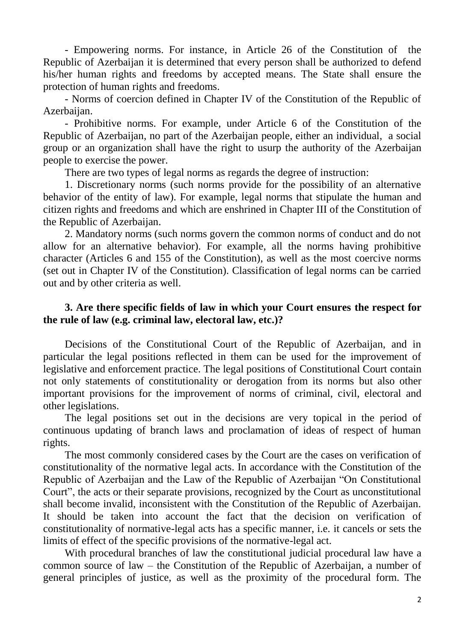- Empowering norms. For instance, in Article 26 of the Constitution of the Republic of Azerbaijan it is determined that every person shall be authorized to defend his/her human rights and freedoms by accepted means. The State shall ensure the protection of human rights and freedoms.

- Norms of coercion defined in Chapter IV of the Constitution of the Republic of Azerbaijan.

- Prohibitive norms. For example, under Article 6 of the Constitution of the Republic of Azerbaijan, no part of the Azerbaijan people, either an individual, a social group or an organization shall have the right to usurp the authority of the Azerbaijan people to exercise the power.

There are two types of legal norms as regards the degree of instruction:

1. Discretionary norms (such norms provide for the possibility of an alternative behavior of the entity of law). For example, legal norms that stipulate the human and citizen rights and freedoms and which are enshrined in Chapter III of the Constitution of the Republic of Azerbaijan.

2. Mandatory norms (such norms govern the common norms of conduct and do not allow for an alternative behavior). For example, all the norms having prohibitive character (Articles 6 and 155 of the Constitution), as well as the most coercive norms (set out in Chapter IV of the Constitution). Classification of legal norms can be carried out and by other criteria as well.

# **3. Are there specific fields of law in which your Court ensures the respect for the rule of law (e.g. criminal law, electoral law, etc.)?**

Decisions of the Constitutional Court of the Republic of Azerbaijan, and in particular the legal positions reflected in them can be used for the improvement of legislative and enforcement practice. The legal positions of Constitutional Court contain not only statements of constitutionality or derogation from its norms but also other important provisions for the improvement of norms of criminal, civil, electoral and other legislations.

The legal positions set out in the decisions are very topical in the period of continuous updating of branch laws and proclamation of ideas of respect of human rights.

The most commonly considered cases by the Court are the cases on verification of constitutionality of the normative legal acts. In accordance with the Constitution of the Republic of Azerbaijan and the Law of the Republic of Azerbaijan "On Constitutional Court", the acts or their separate provisions, recognized by the Court as unconstitutional shall become invalid, inconsistent with the Constitution of the Republic of Azerbaijan. It should be taken into account the fact that the decision on verification of constitutionality of normative-legal acts has a specific manner, i.e. it cancels or sets the limits of effect of the specific provisions of the normative-legal act.

With procedural branches of law the constitutional judicial procedural law have a common source of law – the Constitution of the Republic of Azerbaijan, a number of general principles of justice, as well as the proximity of the procedural form. The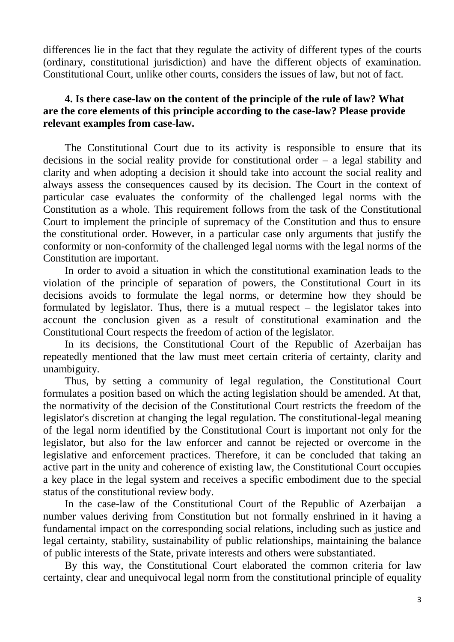differences lie in the fact that they regulate the activity of different types of the courts (ordinary, constitutional jurisdiction) and have the different objects of examination. Constitutional Court, unlike other courts, considers the issues of law, but not of fact.

## **4. Is there case-law on the content of the principle of the rule of law? What are the core elements of this principle according to the case-law? Please provide relevant examples from case-law.**

The Constitutional Court due to its activity is responsible to ensure that its decisions in the social reality provide for constitutional order – a legal stability and clarity and when adopting a decision it should take into account the social reality and always assess the consequences caused by its decision. The Court in the context of particular case evaluates the conformity of the challenged legal norms with the Constitution as a whole. This requirement follows from the task of the Constitutional Court to implement the principle of supremacy of the Constitution and thus to ensure the constitutional order. However, in a particular case only arguments that justify the conformity or non-conformity of the challenged legal norms with the legal norms of the Constitution are important.

In order to avoid a situation in which the constitutional examination leads to the violation of the principle of separation of powers, the Constitutional Court in its decisions avoids to formulate the legal norms, or determine how they should be formulated by legislator. Thus, there is a mutual respect – the legislator takes into account the conclusion given as a result of constitutional examination and the Constitutional Court respects the freedom of action of the legislator.

In its decisions, the Constitutional Court of the Republic of Azerbaijan has repeatedly mentioned that the law must meet certain criteria of certainty, clarity and unambiguity.

Thus, by setting a community of legal regulation, the Constitutional Court formulates a position based on which the acting legislation should be amended. At that, the normativity of the decision of the Constitutional Court restricts the freedom of the legislator's discretion at changing the legal regulation. The constitutional-legal meaning of the legal norm identified by the Constitutional Court is important not only for the legislator, but also for the law enforcer and cannot be rejected or overcome in the legislative and enforcement practices. Therefore, it can be concluded that taking an active part in the unity and coherence of existing law, the Constitutional Court occupies a key place in the legal system and receives a specific embodiment due to the special status of the constitutional review body.

In the case-law of the Constitutional Court of the Republic of Azerbaijan a number values deriving from Constitution but not formally enshrined in it having a fundamental impact on the corresponding social relations, including such as justice and legal certainty, stability, sustainability of public relationships, maintaining the balance of public interests of the State, private interests and others were substantiated.

By this way, the Constitutional Court elaborated the common criteria for law certainty, clear and unequivocal legal norm from the constitutional principle of equality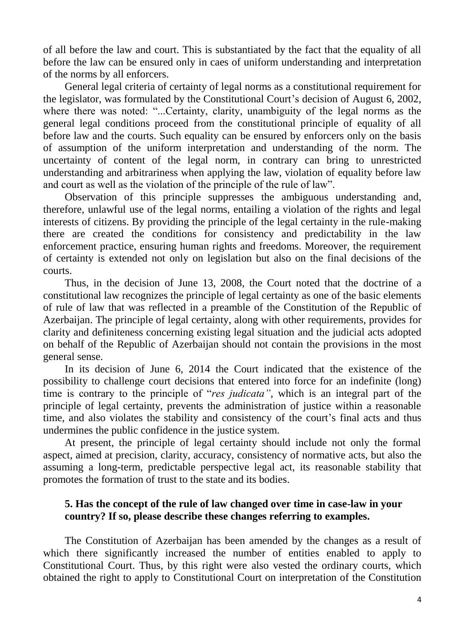of all before the law and court. This is substantiated by the fact that the equality of all before the law can be ensured only in caes of uniform understanding and interpretation of the norms by all enforcers.

General legal criteria of certainty of legal norms as a constitutional requirement for the legislator, was formulated by the Constitutional Court's decision of August 6, 2002, where there was noted: "...Certainty, clarity, unambiguity of the legal norms as the general legal conditions proceed from the constitutional principle of equality of all before law and the courts. Such equality can be ensured by enforcers only on the basis of assumption of the uniform interpretation and understanding of the norm. The uncertainty of content of the legal norm, in contrary can bring to unrestricted understanding and arbitrariness when applying the law, violation of equality before law and court as well as the violation of the principle of the rule of law".

Observation of this principle suppresses the ambiguous understanding and, therefore, unlawful use of the legal norms, entailing a violation of the rights and legal interests of citizens. By providing the principle of the legal certainty in the rule-making there are created the conditions for consistency and predictability in the law enforcement practice, ensuring human rights and freedoms. Moreover, the requirement of certainty is extended not only on legislation but also on the final decisions of the courts.

Thus, in the decision of June 13, 2008, the Court noted that the doctrine of a constitutional law recognizes the principle of legal certainty as one of the basic elements of rule of law that was reflected in a preamble of the Constitution of the Republic of Azerbaijan. The principle of legal certainty, along with other requirements, provides for clarity and definiteness concerning existing legal situation and the judicial acts adopted on behalf of the Republic of Azerbaijan should not contain the provisions in the most general sense.

In its decision of June 6, 2014 the Court indicated that the existence of the possibility to challenge court decisions that entered into force for an indefinite (long) time is contrary to the principle of "*res judicata"*, which is an integral part of the principle of legal certainty, prevents the administration of justice within a reasonable time, and also violates the stability and consistency of the court's final acts and thus undermines the public confidence in the justice system.

At present, the principle of legal certainty should include not only the formal aspect, aimed at precision, clarity, accuracy, consistency of normative acts, but also the assuming a long-term, predictable perspective legal act, its reasonable stability that promotes the formation of trust to the state and its bodies.

## **5. Has the concept of the rule of law changed over time in case-law in your country? If so, please describe these changes referring to examples.**

The Constitution of Azerbaijan has been amended by the changes as a result of which there significantly increased the number of entities enabled to apply to Constitutional Court. Thus, by this right were also vested the ordinary courts, which obtained the right to apply to Constitutional Court on interpretation of the Constitution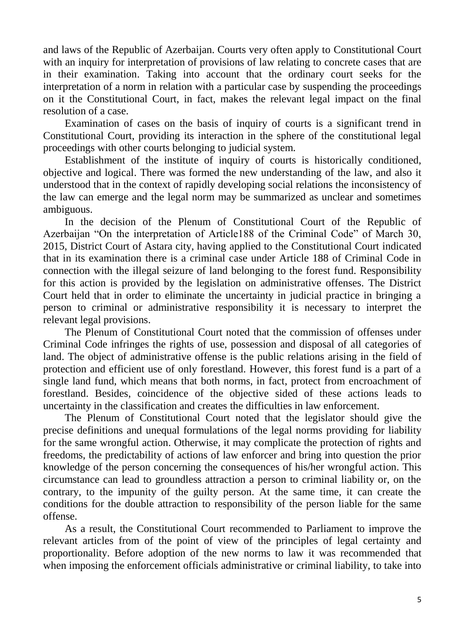and laws of the Republic of Azerbaijan. Courts very often apply to Constitutional Court with an inquiry for interpretation of provisions of law relating to concrete cases that are in their examination. Taking into account that the ordinary court seeks for the interpretation of a norm in relation with a particular case by suspending the proceedings on it the Constitutional Court, in fact, makes the relevant legal impact on the final resolution of a case.

Examination of cases on the basis of inquiry of courts is a significant trend in Constitutional Court, providing its interaction in the sphere of the constitutional legal proceedings with other courts belonging to judicial system.

Establishment of the institute of inquiry of courts is historically conditioned, objective and logical. There was formed the new understanding of the law, and also it understood that in the context of rapidly developing social relations the inconsistency of the law can emerge and the legal norm may be summarized as unclear and sometimes ambiguous.

In the decision of the Plenum of Constitutional Court of the Republic of Azerbaijan "On the interpretation of Article188 of the Criminal Code" of March 30, 2015, District Court of Astara city, having applied to the Constitutional Court indicated that in its examination there is a criminal case under Article 188 of Criminal Code in connection with the illegal seizure of land belonging to the forest fund. Responsibility for this action is provided by the legislation on administrative offenses. The District Court held that in order to eliminate the uncertainty in judicial practice in bringing a person to criminal or administrative responsibility it is necessary to interpret the relevant legal provisions.

The Plenum of Constitutional Court noted that the commission of offenses under Criminal Code infringes the rights of use, possession and disposal of all categories of land. The object of administrative offense is the public relations arising in the field of protection and efficient use of only forestland. However, this forest fund is a part of a single land fund, which means that both norms, in fact, protect from encroachment of forestland. Besides, coincidence of the objective sided of these actions leads to uncertainty in the classification and creates the difficulties in law enforcement.

The Plenum of Constitutional Court noted that the legislator should give the precise definitions and unequal formulations of the legal norms providing for liability for the same wrongful action. Otherwise, it may complicate the protection of rights and freedoms, the predictability of actions of law enforcer and bring into question the prior knowledge of the person concerning the consequences of his/her wrongful action. This circumstance can lead to groundless attraction a person to criminal liability or, on the contrary, to the impunity of the guilty person. At the same time, it can create the conditions for the double attraction to responsibility of the person liable for the same offense.

As a result, the Constitutional Court recommended to Parliament to improve the relevant articles from of the point of view of the principles of legal certainty and proportionality. Before adoption of the new norms to law it was recommended that when imposing the enforcement officials administrative or criminal liability, to take into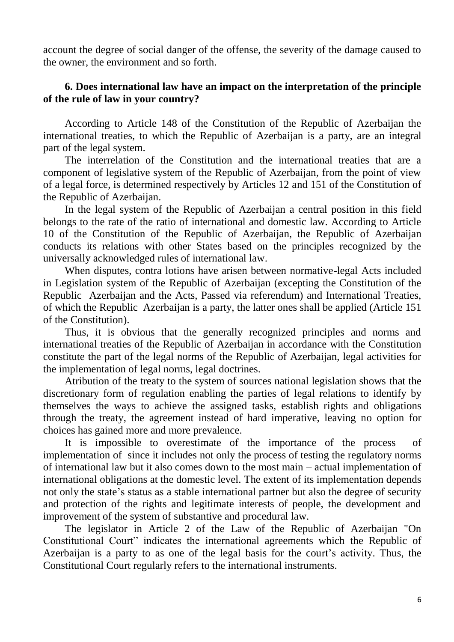account the degree of social danger of the offense, the severity of the damage caused to the owner, the environment and so forth.

# **6. Does international law have an impact on the interpretation of the principle of the rule of law in your country?**

According to Article 148 of the Constitution of the Republic of Azerbaijan the international treaties, to which the Republic of Azerbaijan is a party, are an integral part of the legal system.

The interrelation of the Constitution and the international treaties that are a component of legislative system of the Republic of Azerbaijan, from the point of view of a legal force, is determined respectively by Articles 12 and 151 of the Constitution of the Republic of Azerbaijan.

In the legal system of the Republic of Azerbaijan a central position in this field belongs to the rate of the ratio of international and domestic law. According to Article 10 of the Constitution of the Republic of Azerbaijan, the Republic of Azerbaijan conducts its relations with other States based on the principles recognized by the universally acknowledged rules of international law.

When disputes, contra lotions have arisen between normative-legal Acts included in Legislation system of the Republic of Azerbaijan (excepting the Constitution of the Republic Azerbaijan and the Acts, Passed via referendum) and International Treaties, of which the Republic Azerbaijan is a party, the latter ones shall be applied (Article 151 of the Constitution).

Thus, it is obvious that the generally recognized principles and norms and international treaties of the Republic of Azerbaijan in accordance with the Constitution constitute the part of the legal norms of the Republic of Azerbaijan, legal activities for the implementation of legal norms, legal doctrines.

Atribution of the treaty to the system of sources national legislation shows that the discretionary form of regulation enabling the parties of legal relations to identify by themselves the ways to achieve the assigned tasks, establish rights and obligations through the treaty, the agreement instead of hard imperative, leaving no option for choices has gained more and more prevalence.

It is impossible to overestimate of the importance of the process of implementation of since it includes not only the process of testing the regulatory norms of international law but it also comes down to the most main – actual implementation of international obligations at the domestic level. The extent of its implementation depends not only the state's status as a stable international partner but also the degree of security and protection of the rights and legitimate interests of people, the development and improvement of the system of substantive and procedural law.

The legislator in Article 2 of the Law of the Republic of Azerbaijan "On Constitutional Court" indicates the international agreements which the Republic of Azerbaijan is a party to as one of the legal basis for the court's activity. Thus, the Constitutional Court regularly refers to the international instruments.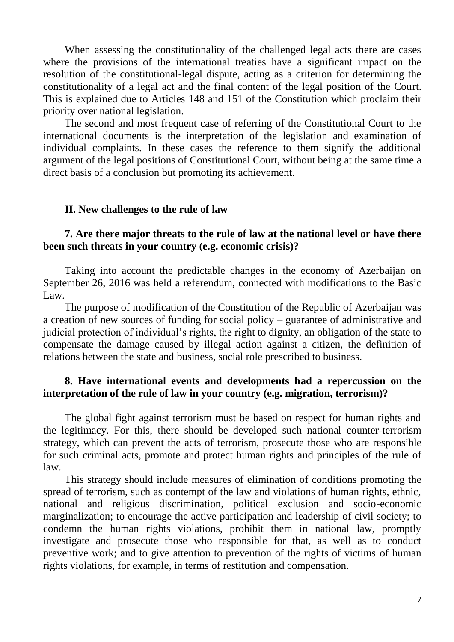When assessing the constitutionality of the challenged legal acts there are cases where the provisions of the international treaties have a significant impact on the resolution of the constitutional-legal dispute, acting as a criterion for determining the constitutionality of a legal act and the final content of the legal position of the Court. This is explained due to Articles 148 and 151 of the Constitution which proclaim their priority over national legislation.

The second and most frequent case of referring of the Constitutional Court to the international documents is the interpretation of the legislation and examination of individual complaints. In these cases the reference to them signify the additional argument of the legal positions of Constitutional Court, without being at the same time a direct basis of a conclusion but promoting its achievement.

#### **II. New challenges to the rule of law**

### **7. Are there major threats to the rule of law at the national level or have there been such threats in your country (e.g. economic crisis)?**

Taking into account the predictable changes in the economy of Azerbaijan on September 26, 2016 was held a referendum, connected with modifications to the Basic Law.

The purpose of modification of the Constitution of the Republic of Azerbaijan was a creation of new sources of funding for social policy – guarantee of administrative and judicial protection of individual's rights, the right to dignity, an obligation of the state to compensate the damage caused by illegal action against a citizen, the definition of relations between the state and business, social role prescribed to business.

### **8. Have international events and developments had a repercussion on the interpretation of the rule of law in your country (e.g. migration, terrorism)?**

The global fight against terrorism must be based on respect for human rights and the legitimacy. For this, there should be developed such national counter-terrorism strategy, which can prevent the acts of terrorism, prosecute those who are responsible for such criminal acts, promote and protect human rights and principles of the rule of law.

This strategy should include measures of elimination of conditions promoting the spread of terrorism, such as contempt of the law and violations of human rights, ethnic, national and religious discrimination, political exclusion and socio-economic marginalization; to encourage the active participation and leadership of civil society; to condemn the human rights violations, prohibit them in national law, promptly investigate and prosecute those who responsible for that, as well as to conduct preventive work; and to give attention to prevention of the rights of victims of human rights violations, for example, in terms of restitution and compensation.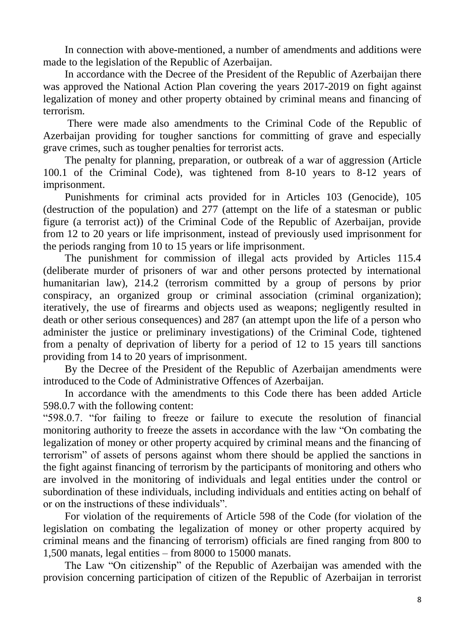In connection with above-mentioned, a number of amendments and additions were made to the legislation of the Republic of Azerbaijan.

In accordance with the Decree of the President of the Republic of Azerbaijan there was approved the National Action Plan covering the years 2017-2019 on fight against legalization of money and other property obtained by criminal means and financing of terrorism.

There were made also amendments to the Criminal Code of the Republic of Azerbaijan providing for tougher sanctions for committing of grave and especially grave crimes, such as tougher penalties for terrorist acts.

The penalty for planning, preparation, or outbreak of a war of aggression (Article 100.1 of the Criminal Code), was tightened from 8-10 years to 8-12 years of imprisonment.

Punishments for criminal acts provided for in Articles 103 (Genocide), 105 (destruction of the population) and 277 (attempt on the life of a statesman or public figure (a terrorist act)) of the Criminal Code of the Republic of Azerbaijan, provide from 12 to 20 years or life imprisonment, instead of previously used imprisonment for the periods ranging from 10 to 15 years or life imprisonment.

The punishment for commission of illegal acts provided by Articles 115.4 (deliberate murder of prisoners of war and other persons protected by international humanitarian law), 214.2 (terrorism committed by a group of persons by prior conspiracy, an organized group or criminal association (criminal organization); iteratively, the use of firearms and objects used as weapons; negligently resulted in death or other serious consequences) and 287 (an attempt upon the life of a person who administer the justice or preliminary investigations) of the Criminal Code, tightened from a penalty of deprivation of liberty for a period of 12 to 15 years till sanctions providing from 14 to 20 years of imprisonment.

By the Decree of the President of the Republic of Azerbaijan amendments were introduced to the Code of Administrative Offences of Azerbaijan.

In accordance with the amendments to this Code there has been added Article 598.0.7 with the following content:

"598.0.7. "for failing to freeze or failure to execute the resolution of financial monitoring authority to freeze the assets in accordance with the law "On combating the legalization of money or other property acquired by criminal means and the financing of terrorism" of assets of persons against whom there should be applied the sanctions in the fight against financing of terrorism by the participants of monitoring and others who are involved in the monitoring of individuals and legal entities under the control or subordination of these individuals, including individuals and entities acting on behalf of or on the instructions of these individuals".

For violation of the requirements of Article 598 of the Code (for violation of the legislation on combating the legalization of money or other property acquired by criminal means and the financing of terrorism) officials are fined ranging from 800 to 1,500 manats, legal entities – from 8000 to 15000 manats.

The Law "On citizenship" of the Republic of Azerbaijan was amended with the provision concerning participation of citizen of the Republic of Azerbaijan in terrorist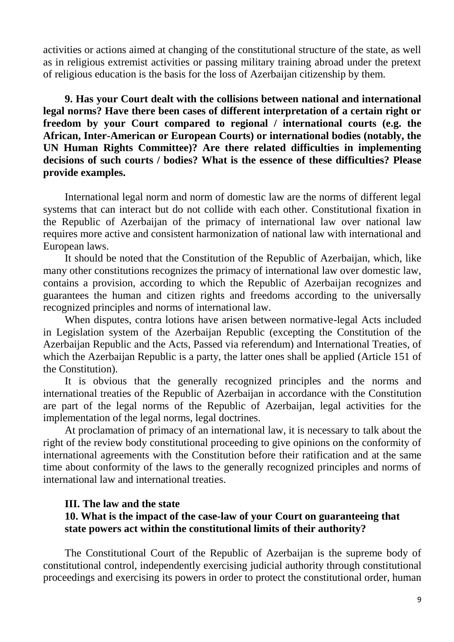activities or actions aimed at changing of the constitutional structure of the state, as well as in religious extremist activities or passing military training abroad under the pretext of religious education is the basis for the loss of Azerbaijan citizenship by them.

**9. Has your Court dealt with the collisions between national and international legal norms? Have there been cases of different interpretation of a certain right or freedom by your Court compared to regional / international courts (e.g. the African, Inter-American or European Courts) or international bodies (notably, the UN Human Rights Committee)? Are there related difficulties in implementing decisions of such courts / bodies? What is the essence of these difficulties? Please provide examples.**

International legal norm and norm of domestic law are the norms of different legal systems that can interact but do not collide with each other. Constitutional fixation in the Republic of Azerbaijan of the primacy of international law over national law requires more active and consistent harmonization of national law with international and European laws.

It should be noted that the Constitution of the Republic of Azerbaijan, which, like many other constitutions recognizes the primacy of international law over domestic law, contains a provision, according to which the Republic of Azerbaijan recognizes and guarantees the human and citizen rights and freedoms according to the universally recognized principles and norms of international law.

When disputes, contra lotions have arisen between normative-legal Acts included in Legislation system of the Azerbaijan Republic (excepting the Constitution of the Azerbaijan Republic and the Acts, Passed via referendum) and International Treaties, of which the Azerbaijan Republic is a party, the latter ones shall be applied (Article 151 of the Constitution).

It is obvious that the generally recognized principles and the norms and international treaties of the Republic of Azerbaijan in accordance with the Constitution are part of the legal norms of the Republic of Azerbaijan, legal activities for the implementation of the legal norms, legal doctrines.

At proclamation of primacy of an international law, it is necessary to talk about the right of the review body constitutional proceeding to give opinions on the conformity of international agreements with the Constitution before their ratification and at the same time about conformity of the laws to the generally recognized principles and norms of international law and international treaties.

#### **III. The law and the state**

## **10. What is the impact of the case-law of your Court on guaranteeing that state powers act within the constitutional limits of their authority?**

The Constitutional Court of the Republic of Azerbaijan is the supreme body of constitutional control, independently exercising judicial authority through constitutional proceedings and exercising its powers in order to protect the constitutional order, human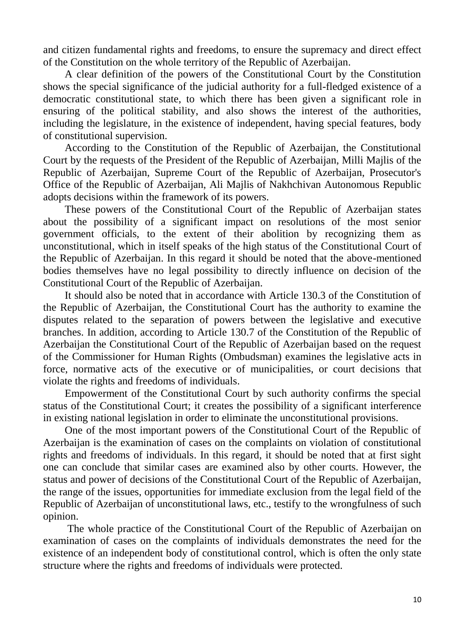and citizen fundamental rights and freedoms, to ensure the supremacy and direct effect of the Constitution on the whole territory of the Republic of Azerbaijan.

A clear definition of the powers of the Constitutional Court by the Constitution shows the special significance of the judicial authority for a full-fledged existence of a democratic constitutional state, to which there has been given a significant role in ensuring of the political stability, and also shows the interest of the authorities, including the legislature, in the existence of independent, having special features, body of constitutional supervision.

According to the Constitution of the Republic of Azerbaijan, the Constitutional Court by the requests of the President of the Republic of Azerbaijan, Milli Majlis of the Republic of Azerbaijan, Supreme Court of the Republic of Azerbaijan, Prosecutor's Office of the Republic of Azerbaijan, Ali Majlis of Nakhchivan Autonomous Republic adopts decisions within the framework of its powers.

These powers of the Constitutional Court of the Republic of Azerbaijan states about the possibility of a significant impact on resolutions of the most senior government officials, to the extent of their abolition by recognizing them as unconstitutional, which in itself speaks of the high status of the Constitutional Court of the Republic of Azerbaijan. In this regard it should be noted that the above-mentioned bodies themselves have no legal possibility to directly influence on decision of the Constitutional Court of the Republic of Azerbaijan.

It should also be noted that in accordance with Article 130.3 of the Constitution of the Republic of Azerbaijan, the Constitutional Court has the authority to examine the disputes related to the separation of powers between the legislative and executive branches. In addition, according to Article 130.7 of the Constitution of the Republic of Azerbaijan the Constitutional Court of the Republic of Azerbaijan based on the request of the Commissioner for Human Rights (Ombudsman) examines the legislative acts in force, normative acts of the executive or of municipalities, or court decisions that violate the rights and freedoms of individuals.

Empowerment of the Constitutional Court by such authority confirms the special status of the Constitutional Court; it creates the possibility of a significant interference in existing national legislation in order to eliminate the unconstitutional provisions.

One of the most important powers of the Constitutional Court of the Republic of Azerbaijan is the examination of cases on the complaints on violation of constitutional rights and freedoms of individuals. In this regard, it should be noted that at first sight one can conclude that similar cases are examined also by other courts. However, the status and power of decisions of the Constitutional Court of the Republic of Azerbaijan, the range of the issues, opportunities for immediate exclusion from the legal field of the Republic of Azerbaijan of unconstitutional laws, etc., testify to the wrongfulness of such opinion.

The whole practice of the Constitutional Court of the Republic of Azerbaijan on examination of cases on the complaints of individuals demonstrates the need for the existence of an independent body of constitutional control, which is often the only state structure where the rights and freedoms of individuals were protected.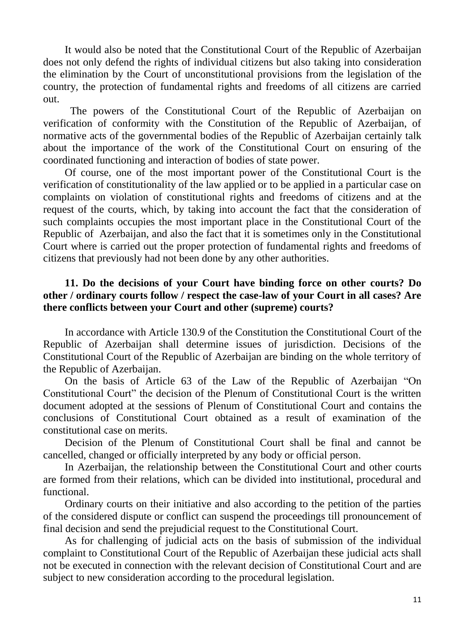It would also be noted that the Constitutional Court of the Republic of Azerbaijan does not only defend the rights of individual citizens but also taking into consideration the elimination by the Court of unconstitutional provisions from the legislation of the country, the protection of fundamental rights and freedoms of all citizens are carried out.

The powers of the Constitutional Court of the Republic of Azerbaijan on verification of conformity with the Constitution of the Republic of Azerbaijan, of normative acts of the governmental bodies of the Republic of Azerbaijan certainly talk about the importance of the work of the Constitutional Court on ensuring of the coordinated functioning and interaction of bodies of state power.

Of course, one of the most important power of the Constitutional Court is the verification of constitutionality of the law applied or to be applied in a particular case on complaints on violation of constitutional rights and freedoms of citizens and at the request of the courts, which, by taking into account the fact that the consideration of such complaints occupies the most important place in the Constitutional Court of the Republic of Azerbaijan, and also the fact that it is sometimes only in the Constitutional Court where is carried out the proper protection of fundamental rights and freedoms of citizens that previously had not been done by any other authorities.

## **11. Do the decisions of your Court have binding force on other courts? Do other / ordinary courts follow / respect the case-law of your Court in all cases? Are there conflicts between your Court and other (supreme) courts?**

In accordance with Article 130.9 of the Constitution the Constitutional Court of the Republic of Azerbaijan shall determine issues of jurisdiction. Decisions of the Constitutional Court of the Republic of Azerbaijan are binding on the whole territory of the Republic of Azerbaijan.

On the basis of Article 63 of the Law of the Republic of Azerbaijan "On Constitutional Court" the decision of the Plenum of Constitutional Court is the written document adopted at the sessions of Plenum of Constitutional Court and contains the conclusions of Constitutional Court obtained as a result of examination of the constitutional case on merits.

Decision of the Plenum of Constitutional Court shall be final and cannot be cancelled, changed or officially interpreted by any body or official person.

In Azerbaijan, the relationship between the Constitutional Court and other courts are formed from their relations, which can be divided into institutional, procedural and functional.

Ordinary courts on their initiative and also according to the petition of the parties of the considered dispute or conflict can suspend the proceedings till pronouncement of final decision and send the prejudicial request to the Constitutional Court.

As for challenging of judicial acts on the basis of submission of the individual complaint to Constitutional Court of the Republic of Azerbaijan these judicial acts shall not be executed in connection with the relevant decision of Constitutional Court and are subject to new consideration according to the procedural legislation.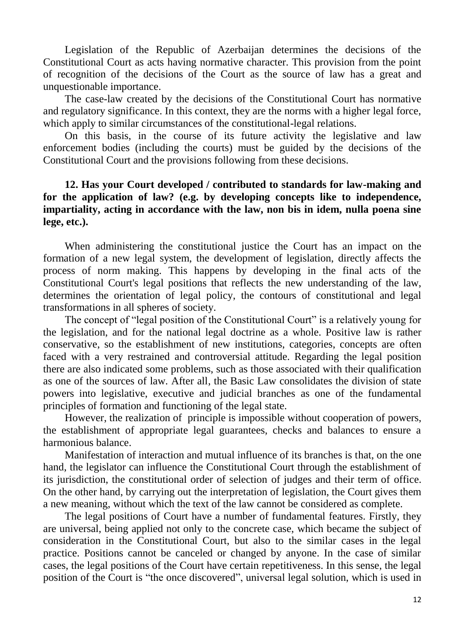Legislation of the Republic of Azerbaijan determines the decisions of the Constitutional Court as acts having normative character. This provision from the point of recognition of the decisions of the Court as the source of law has a great and unquestionable importance.

The case-law created by the decisions of the Constitutional Court has normative and regulatory significance. In this context, they are the norms with a higher legal force, which apply to similar circumstances of the constitutional-legal relations.

On this basis, in the course of its future activity the legislative and law enforcement bodies (including the courts) must be guided by the decisions of the Constitutional Court and the provisions following from these decisions.

## **12. Has your Court developed / contributed to standards for law-making and for the application of law? (e.g. by developing concepts like to independence, impartiality, acting in accordance with the law, non bis in idem, nulla poena sine lege, etc.).**

When administering the constitutional justice the Court has an impact on the formation of a new legal system, the development of legislation, directly affects the process of norm making. This happens by developing in the final acts of the Constitutional Court's legal positions that reflects the new understanding of the law, determines the orientation of legal policy, the contours of constitutional and legal transformations in all spheres of society.

The concept of "legal position of the Constitutional Court" is a relatively young for the legislation, and for the national legal doctrine as a whole. Positive law is rather conservative, so the establishment of new institutions, categories, concepts are often faced with a very restrained and controversial attitude. Regarding the legal position there are also indicated some problems, such as those associated with their qualification as one of the sources of law. After all, the Basic Law consolidates the division of state powers into legislative, executive and judicial branches as one of the fundamental principles of formation and functioning of the legal state.

However, the realization of principle is impossible without cooperation of powers, the establishment of appropriate legal guarantees, checks and balances to ensure a harmonious balance.

Manifestation of interaction and mutual influence of its branches is that, on the one hand, the legislator can influence the Constitutional Court through the establishment of its jurisdiction, the constitutional order of selection of judges and their term of office. On the other hand, by carrying out the interpretation of legislation, the Court gives them a new meaning, without which the text of the law cannot be considered as complete.

The legal positions of Court have a number of fundamental features. Firstly, they are universal, being applied not only to the concrete case, which became the subject of consideration in the Constitutional Court, but also to the similar cases in the legal practice. Positions cannot be canceled or changed by anyone. In the case of similar cases, the legal positions of the Court have certain repetitiveness. In this sense, the legal position of the Court is "the once discovered", universal legal solution, which is used in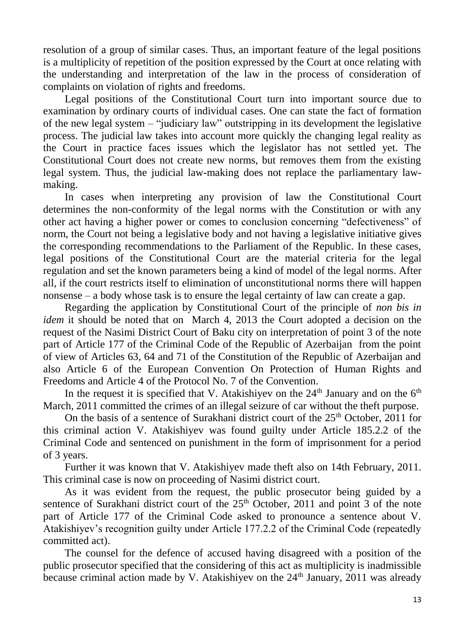resolution of a group of similar cases. Thus, an important feature of the legal positions is a multiplicity of repetition of the position expressed by the Court at once relating with the understanding and interpretation of the law in the process of consideration of complaints on violation of rights and freedoms.

Legal positions of the Constitutional Court turn into important source due to examination by ordinary courts of individual cases. One can state the fact of formation of the new legal system – "judiciary law" outstripping in its development the legislative process. The judicial law takes into account more quickly the changing legal reality as the Court in practice faces issues which the legislator has not settled yet. The Constitutional Court does not create new norms, but removes them from the existing legal system. Thus, the judicial law-making does not replace the parliamentary lawmaking.

In cases when interpreting any provision of law the Constitutional Court determines the non-conformity of the legal norms with the Constitution or with any other act having a higher power or comes to conclusion concerning "defectiveness" of norm, the Court not being a legislative body and not having a legislative initiative gives the corresponding recommendations to the Parliament of the Republic. In these cases, legal positions of the Constitutional Court are the material criteria for the legal regulation and set the known parameters being a kind of model of the legal norms. After all, if the court restricts itself to elimination of unconstitutional norms there will happen nonsense – a body whose task is to ensure the legal certainty of law can create a gap.

Regarding the application by Constitutional Court of the principle of *non bis in idem* it should be noted that on March 4, 2013 the Court adopted a decision on the request of the Nasimi District Court of Baku city on interpretation of point 3 of the note part of Article 177 of the Criminal Code of the Republic of Azerbaijan from the point of view of Articles 63, 64 and 71 of the Constitution of the Republic of Azerbaijan and also Article 6 of the European Convention On Protection of Human Rights and Freedoms and Article 4 of the Protocol No. 7 of the Convention.

In the request it is specified that V. Atakishiyev on the  $24<sup>th</sup>$  January and on the  $6<sup>th</sup>$ March, 2011 committed the crimes of an illegal seizure of car without the theft purpose.

On the basis of a sentence of Surakhani district court of the  $25<sup>th</sup>$  October, 2011 for this criminal action V. Atakishiyev was found guilty under Article 185.2.2 of the Criminal Code and sentenced on punishment in the form of imprisonment for a period of 3 years.

Further it was known that V. Atakishiyev made theft also on 14th February, 2011. This criminal case is now on proceeding of Nasimi district court.

As it was evident from the request, the public prosecutor being guided by a sentence of Surakhani district court of the  $25<sup>th</sup>$  October, 2011 and point 3 of the note part of Article 177 of the Criminal Code asked to pronounce a sentence about V. Atakishiyev's recognition guilty under Article 177.2.2 of the Criminal Code (repeatedly committed act).

The counsel for the defence of accused having disagreed with a position of the public prosecutor specified that the considering of this act as multiplicity is inadmissible because criminal action made by V. Atakishiyev on the  $24<sup>th</sup>$  January, 2011 was already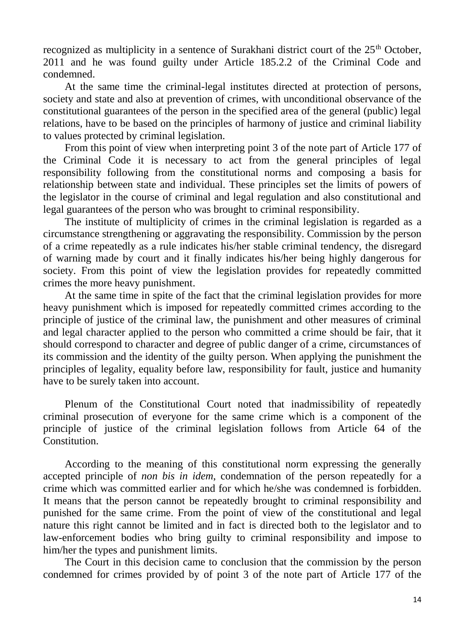recognized as multiplicity in a sentence of Surakhani district court of the 25<sup>th</sup> October, 2011 and he was found guilty under Article 185.2.2 of the Criminal Code and condemned.

At the same time the criminal-legal institutes directed at protection of persons, society and state and also at prevention of crimes, with unconditional observance of the constitutional guarantees of the person in the specified area of the general (public) legal relations, have to be based on the principles of harmony of justice and criminal liability to values protected by criminal legislation.

From this point of view when interpreting point 3 of the note part of Article 177 of the Criminal Code it is necessary to act from the general principles of legal responsibility following from the constitutional norms and composing a basis for relationship between state and individual. These principles set the limits of powers of the legislator in the course of criminal and legal regulation and also constitutional and legal guarantees of the person who was brought to criminal responsibility.

The institute of multiplicity of crimes in the criminal legislation is regarded as a circumstance strengthening or aggravating the responsibility. Commission by the person of a crime repeatedly as a rule indicates his/her stable criminal tendency, the disregard of warning made by court and it finally indicates his/her being highly dangerous for society. From this point of view the legislation provides for repeatedly committed crimes the more heavy punishment.

At the same time in spite of the fact that the criminal legislation provides for more heavy punishment which is imposed for repeatedly committed crimes according to the principle of justice of the criminal law, the punishment and other measures of criminal and legal character applied to the person who committed a crime should be fair, that it should correspond to character and degree of public danger of a crime, circumstances of its commission and the identity of the guilty person. When applying the punishment the principles of legality, equality before law, responsibility for fault, justice and humanity have to be surely taken into account.

Plenum of the Constitutional Court noted that inadmissibility of repeatedly criminal prosecution of everyone for the same crime which is a component of the principle of justice of the criminal legislation follows from Article 64 of the Constitution.

According to the meaning of this constitutional norm expressing the generally accepted principle of *non bis in idem*, condemnation of the person repeatedly for a crime which was committed earlier and for which he/she was condemned is forbidden. It means that the person cannot be repeatedly brought to criminal responsibility and punished for the same crime. From the point of view of the constitutional and legal nature this right cannot be limited and in fact is directed both to the legislator and to law-enforcement bodies who bring guilty to criminal responsibility and impose to him/her the types and punishment limits.

The Court in this decision came to conclusion that the commission by the person condemned for crimes provided by of point 3 of the note part of Article 177 of the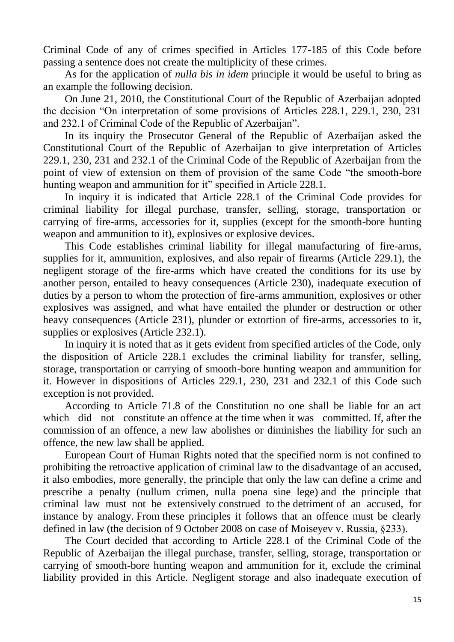Criminal Code of any of crimes specified in Articles 177-185 of this Code before passing a sentence does not create the multiplicity of these crimes.

As for the application of *nulla bis in idem* principle it would be useful to bring as an example the following decision.

On June 21, 2010, the Constitutional Court of the Republic of Azerbaijan adopted the decision "On interpretation of some provisions of Articles 228.1, 229.1, 230, 231 and 232.1 of Criminal Code of the Republic of Azerbaijan".

In its inquiry the Prosecutor General of the Republic of Azerbaijan asked the Constitutional Court of the Republic of Azerbaijan to give interpretation of Articles 229.1, 230, 231 and 232.1 of the Criminal Code of the Republic of Azerbaijan from the point of view of extension on them of provision of the same Code "the smooth-bore hunting weapon and ammunition for it" specified in Article 228.1.

In inquiry it is indicated that Article 228.1 of the Criminal Code provides for criminal liability for illegal purchase, transfer, selling, storage, transportation or carrying of fire-arms, accessories for it, supplies (except for the smooth-bore hunting weapon and ammunition to it), explosives or explosive devices.

This Code establishes criminal liability for illegal manufacturing of fire-arms, supplies for it, ammunition, explosives, and also repair of firearms (Article 229.1), the negligent storage of the fire-arms which have created the conditions for its use by another person, entailed to heavy consequences (Article 230), inadequate execution of duties by a person to whom the protection of fire-arms ammunition, explosives or other explosives was assigned, and what have entailed the plunder or destruction or other heavy consequences (Article 231), plunder or extortion of fire-arms, accessories to it, supplies or explosives (Article 232.1).

In inquiry it is noted that as it gets evident from specified articles of the Code, only the disposition of Article 228.1 excludes the criminal liability for transfer, selling, storage, transportation or carrying of smooth-bore hunting weapon and ammunition for it. However in dispositions of Articles 229.1, 230, 231 and 232.1 of this Code such exception is not provided.

According to Article 71.8 of the Constitution no one shall be liable for an act which did not constitute an offence at the time when it was committed. If, after the commission of an offence, a new law abolishes or diminishes the liability for such an offence, the new law shall be applied.

European Court of Human Rights noted that the specified norm is not confined to prohibiting the retroactive application of criminal law to the disadvantage of an accused, it also embodies, more generally, the principle that only the law can define a crime and prescribe a penalty (nullum crimen, nulla poena sine lege) and the principle that criminal law must not be extensively construed to the detriment of an accused, for instance by analogy. From these principles it follows that an offence must be clearly defined in law (the decision of 9 October 2008 on case of Moiseyev v. Russia, §233).

The Court decided that according to Article 228.1 of the Criminal Code of the Republic of Azerbaijan the illegal purchase, transfer, selling, storage, transportation or carrying of smooth-bore hunting weapon and ammunition for it, exclude the criminal liability provided in this Article. Negligent storage and also inadequate execution of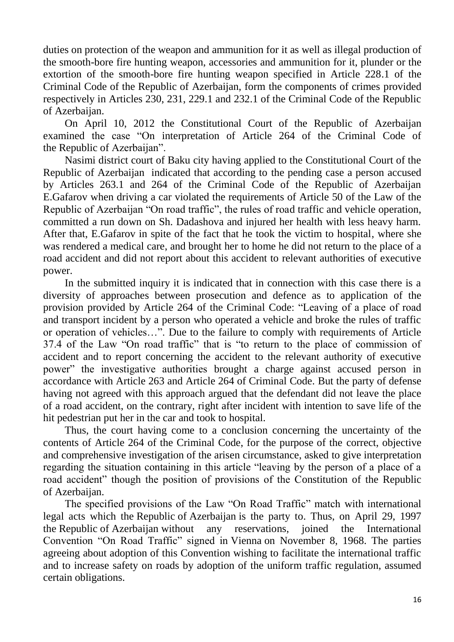duties on protection of the weapon and ammunition for it as well as illegal production of the smooth-bore fire hunting weapon, accessories and ammunition for it, plunder or the extortion of the smooth-bore fire hunting weapon specified in Article 228.1 of the Criminal Code of the Republic of Azerbaijan, form the components of crimes provided respectively in Articles 230, 231, 229.1 and 232.1 of the Criminal Code of the Republic of Azerbaijan.

On April 10, 2012 the Constitutional Court of the Republic of Azerbaijan examined the case "On interpretation of Article 264 of the Criminal Code of the Republic of Azerbaijan".

Nasimi district court of Baku city having applied to the Constitutional Court of the Republic of Azerbaijan indicated that according to the pending case a person accused by Articles 263.1 and 264 of the Criminal Code of the Republic of Azerbaijan E.Gafarov when driving a car violated the requirements of Article 50 of the Law of the Republic of Azerbaijan "On road traffic", the rules of road traffic and vehicle operation, committed a run down on Sh. Dadashova and injured her health with less heavy harm. After that, E.Gafarov in spite of the fact that he took the victim to hospital, where she was rendered a medical care, and brought her to home he did not return to the place of a road accident and did not report about this accident to relevant authorities of executive power.

In the submitted inquiry it is indicated that in connection with this case there is a diversity of approaches between prosecution and defence as to application of the provision provided by Article 264 of the Criminal Code: "Leaving of a place of road and transport incident by a person who operated a vehicle and broke the rules of traffic or operation of vehicles…". Due to the failure to comply with requirements of Article 37.4 of the Law "On road traffic" that is "to return to the place of commission of accident and to report concerning the accident to the relevant authority of executive power" the investigative authorities brought a charge against accused person in accordance with Article 263 and Article 264 of Criminal Code. But the party of defense having not agreed with this approach argued that the defendant did not leave the place of a road accident, on the contrary, right after incident with intention to save life of the hit pedestrian put her in the car and took to hospital.

Thus, the court having come to a conclusion concerning the uncertainty of the contents of Article 264 of the Criminal Code, for the purpose of the correct, objective and comprehensive investigation of the arisen circumstance, asked to give interpretation regarding the situation containing in this article "leaving by the person of a place of a road accident" though the position of provisions of the Constitution of the Republic of Azerbaijan.

The specified provisions of the Law "On Road Traffic" match with international legal acts which the Republic of Azerbaijan is the party to. Thus, on April 29, 1997 the Republic of Azerbaijan without any reservations, joined the International Convention "On Road Traffic" signed in Vienna on November 8, 1968. The parties agreeing about adoption of this Convention wishing to facilitate the international traffic and to increase safety on roads by adoption of the uniform traffic regulation, assumed certain obligations.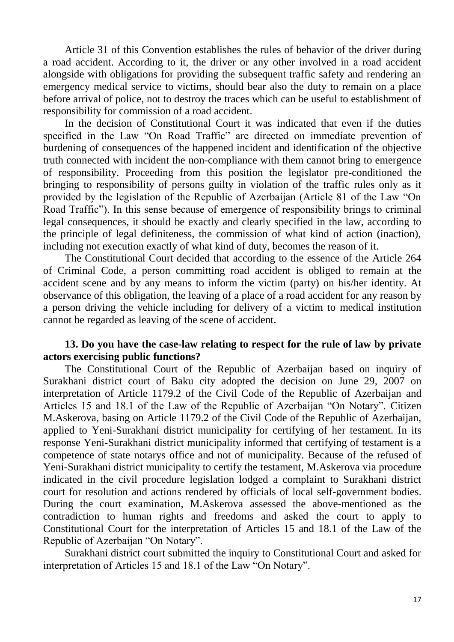Article 31 of this Convention establishes the rules of behavior of the driver during a road accident. According to it, the driver or any other involved in a road accident alongside with obligations for providing the subsequent traffic safety and rendering an emergency medical service to victims, should bear also the duty to remain on a place before arrival of police, not to destroy the traces which can be useful to establishment of responsibility for commission of a road accident.

In the decision of Constitutional Court it was indicated that even if the duties specified in the Law "On Road Traffic" are directed on immediate prevention of burdening of consequences of the happened incident and identification of the objective truth connected with incident the non-compliance with them cannot bring to emergence of responsibility. Proceeding from this position the legislator pre-conditioned the bringing to responsibility of persons guilty in violation of the traffic rules only as it provided by the legislation of the Republic of Azerbaijan (Article 81 of the Law "On Road Traffic"). In this sense because of emergence of responsibility brings to criminal legal consequences, it should be exactly and clearly specified in the law, according to the principle of legal definiteness, the commission of what kind of action (inaction), including not execution exactly of what kind of duty, becomes the reason of it.

The Constitutional Court decided that according to the essence of the Article 264 of Criminal Code, a person committing road accident is obliged to remain at the accident scene and by any means to inform the victim (party) on his/her identity. At observance of this obligation, the leaving of a place of a road accident for any reason by a person driving the vehicle including for delivery of a victim to medical institution cannot be regarded as leaving of the scene of accident.

### **13. Do you have the case-law relating to respect for the rule of law by private actors exercising public functions?**

The Constitutional Court of the Republic of Azerbaijan based on inquiry of Surakhani district court of Baku city adopted the decision on June 29, 2007 on interpretation of Article 1179.2 of the Civil Code of the Republic of Azerbaijan and Articles 15 and 18.1 of the Law of the Republic of Azerbaijan "On Notary". Citizen M.Askerova, basing on Article 1179.2 of the Civil Code of the Republic of Azerbaijan, applied to Yeni-Surakhani district municipality for certifying of her testament. In its response Yeni-Surakhani district municipality informed that certifying of testament is a competence of state notarys office and not of municipality. Because of the refused of Yeni-Surakhani district municipality to certify the testament, M.Askerova via procedure indicated in the civil procedure legislation lodged a complaint to Surakhani district court for resolution and actions rendered by officials of local self-government bodies. During the court examination, M.Askerova assessed the above-mentioned as the contradiction to human rights and freedoms and asked the court to apply to Constitutional Court for the interpretation of Articles 15 and 18.1 of the Law of the Republic of Azerbaijan "On Notary".

Surakhani district court submitted the inquiry to Constitutional Court and asked for interpretation of Articles 15 and 18.1 of the Law "On Notary".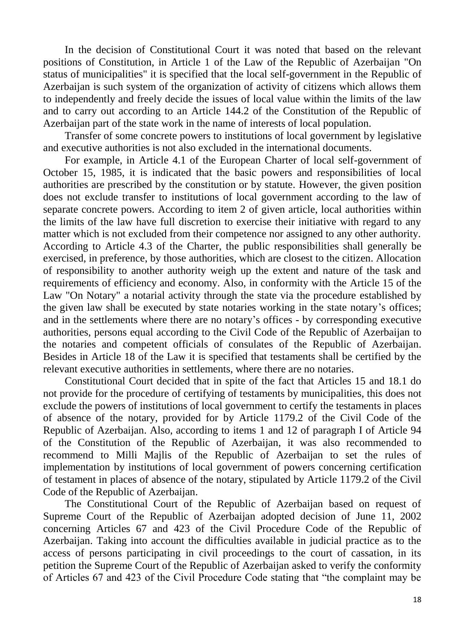In the decision of Constitutional Court it was noted that based on the relevant positions of Constitution, in Article 1 of the Law of the Republic of Azerbaijan "On status of municipalities" it is specified that the local self-government in the Republic of Azerbaijan is such system of the organization of activity of citizens which allows them to independently and freely decide the issues of local value within the limits of the law and to carry out according to an Article 144.2 of the Constitution of the Republic of Azerbaijan part of the state work in the name of interests of local population.

Transfer of some concrete powers to institutions of local government by legislative and executive authorities is not also excluded in the international documents.

For example, in Article 4.1 of the European Charter of local self-government of October 15, 1985, it is indicated that the basic powers and responsibilities of local authorities are prescribed by the constitution or by statute. However, the given position does not exclude transfer to institutions of local government according to the law of separate concrete powers. According to item 2 of given article, local authorities within the limits of the law have full discretion to exercise their initiative with regard to any matter which is not excluded from their competence nor assigned to any other authority. According to Article 4.3 of the Charter, the public responsibilities shall generally be exercised, in preference, by those authorities, which are closest to the citizen. Allocation of responsibility to another authority weigh up the extent and nature of the task and requirements of efficiency and economy. Also, in conformity with the Article 15 of the Law "On Notary" a notarial activity through the state via the procedure established by the given law shall be executed by state notaries working in the state notary's offices; and in the settlements where there are no notary's offices - by corresponding executive authorities, persons equal according to the Civil Code of the Republic of Azerbaijan to the notaries and competent officials of consulates of the Republic of Azerbaijan. Besides in Article 18 of the Law it is specified that testaments shall be certified by the relevant executive authorities in settlements, where there are no notaries.

Constitutional Court decided that in spite of the fact that Articles 15 and 18.1 do not provide for the procedure of certifying of testaments by municipalities, this does not exclude the powers of institutions of local government to certify the testaments in places of absence of the notary, provided for by Article 1179.2 of the Civil Code of the Republic of Azerbaijan. Also, according to items 1 and 12 of paragraph I of Article 94 of the Constitution of the Republic of Azerbaijan, it was also recommended to recommend to Milli Majlis of the Republic of Azerbaijan to set the rules of implementation by institutions of local government of powers concerning certification of testament in places of absence of the notary, stipulated by Article 1179.2 of the Civil Code of the Republic of Azerbaijan.

The Constitutional Court of the Republic of Azerbaijan based on request of Supreme Court of the Republic of Azerbaijan adopted decision of June 11, 2002 concerning Articles 67 and 423 of the Civil Procedure Code of the Republic of Azerbaijan. Taking into account the difficulties available in judicial practice as to the access of persons participating in civil proceedings to the court of cassation, in its petition the Supreme Court of the Republic of Azerbaijan asked to verify the conformity of Articles 67 and 423 of the Civil Procedure Code stating that "the complaint may be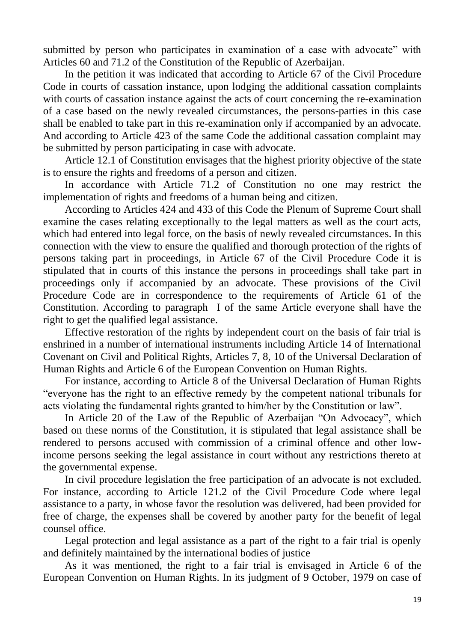submitted by person who participates in examination of a case with advocate" with Articles 60 and 71.2 of the Constitution of the Republic of Azerbaijan.

In the petition it was indicated that according to Article 67 of the Civil Procedure Code in courts of cassation instance, upon lodging the additional cassation complaints with courts of cassation instance against the acts of court concerning the re-examination of a case based on the newly revealed circumstances, the persons-parties in this case shall be enabled to take part in this re-examination only if accompanied by an advocate. And according to Article 423 of the same Code the additional cassation complaint may be submitted by person participating in case with advocate.

Article 12.1 of Constitution envisages that the highest priority objective of the state is to ensure the rights and freedoms of a person and citizen.

In accordance with Article 71.2 of Constitution no one may restrict the implementation of rights and freedoms of a human being and citizen.

According to Articles 424 and 433 of this Code the Plenum of Supreme Court shall examine the cases relating exceptionally to the legal matters as well as the court acts, which had entered into legal force, on the basis of newly revealed circumstances. In this connection with the view to ensure the qualified and thorough protection of the rights of persons taking part in proceedings, in Article 67 of the Civil Procedure Code it is stipulated that in courts of this instance the persons in proceedings shall take part in proceedings only if accompanied by an advocate. These provisions of the Civil Procedure Code are in correspondence to the requirements of Article 61 of the Constitution. According to paragraph I of the same Article everyone shall have the right to get the qualified legal assistance.

Effective restoration of the rights by independent court on the basis of fair trial is enshrined in a number of international instruments including Article 14 of International Covenant on Civil and Political Rights, Articles 7, 8, 10 of the Universal Declaration of Human Rights and Article 6 of the European Convention on Human Rights.

For instance, according to Article 8 of the Universal Declaration of Human Rights "everyone has the right to an effective remedy by the competent national tribunals for acts violating the fundamental rights granted to him/her by the Constitution or law".

In Article 20 of the Law of the Republic of Azerbaijan "On Advocacy", which based on these norms of the Constitution, it is stipulated that legal assistance shall be rendered to persons accused with commission of a criminal offence and other lowincome persons seeking the legal assistance in court without any restrictions thereto at the governmental expense.

In civil procedure legislation the free participation of an advocate is not excluded. For instance, according to Article 121.2 of the Civil Procedure Code where legal assistance to a party, in whose favor the resolution was delivered, had been provided for free of charge, the expenses shall be covered by another party for the benefit of legal counsel office.

Legal protection and legal assistance as a part of the right to a fair trial is openly and definitely maintained by the international bodies of justice

As it was mentioned, the right to a fair trial is envisaged in Article 6 of the European Convention on Human Rights. In its judgment of 9 October, 1979 on case of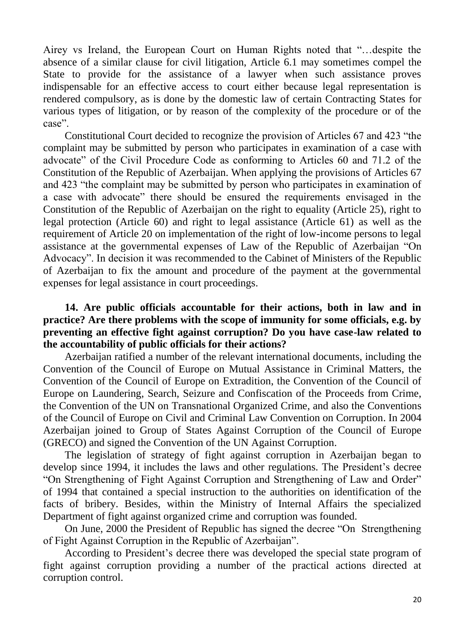Airey vs Ireland, the European Court on Human Rights noted that "…despite the absence of a similar clause for civil litigation, Article 6.1 may sometimes compel the State to provide for the assistance of a lawyer when such assistance proves indispensable for an effective access to court either because legal representation is rendered compulsory, as is done by the domestic law of certain Contracting States for various types of litigation, or by reason of the complexity of the procedure or of the case".

Constitutional Court decided to recognize the provision of Articles 67 and 423 "the complaint may be submitted by person who participates in examination of a case with advocate" of the Civil Procedure Code as conforming to Articles 60 and 71.2 of the Constitution of the Republic of Azerbaijan. When applying the provisions of Articles 67 and 423 "the complaint may be submitted by person who participates in examination of a case with advocate" there should be ensured the requirements envisaged in the Constitution of the Republic of Azerbaijan on the right to equality (Article 25), right to legal protection (Article 60) and right to legal assistance (Article 61) as well as the requirement of Article 20 on implementation of the right of low-income persons to legal assistance at the governmental expenses of Law of the Republic of Azerbaijan "On Advocacy". In decision it was recommended to the Cabinet of Ministers of the Republic of Azerbaijan to fix the amount and procedure of the payment at the governmental expenses for legal assistance in court proceedings.

## **14. Are public officials accountable for their actions, both in law and in practice? Are there problems with the scope of immunity for some officials, e.g. by preventing an effective fight against corruption? Do you have case-law related to the accountability of public officials for their actions?**

Azerbaijan ratified a number of the relevant international documents, including the Convention of the Council of Europe on Mutual Assistance in Criminal Matters, the Convention of the Council of Europe on Extradition, the Convention of the Council of Europe on Laundering, Search, Seizure and Confiscation of the Proceeds from Crime, the Convention of the UN on Transnational Organized Crime, and also the Conventions of the Council of Europe on Civil and Criminal Law Convention on Corruption. In 2004 Azerbaijan joined to Group of States Against Corruption of the Council of Europe (GRECO) and signed the Convention of the UN Against Corruption.

The legislation of strategy of fight against corruption in Azerbaijan began to develop since 1994, it includes the laws and other regulations. The President's decree "On Strengthening of Fight Against Corruption and Strengthening of Law and Order" of 1994 that contained a special instruction to the authorities on identification of the facts of bribery. Besides, within the Ministry of Internal Affairs the specialized Department of fight against organized crime and corruption was founded.

On June, 2000 the President of Republic has signed the decree "On Strengthening of Fight Against Corruption in the Republic of Azerbaijan".

According to President's decree there was developed the special state program of fight against corruption providing a number of the practical actions directed at corruption control.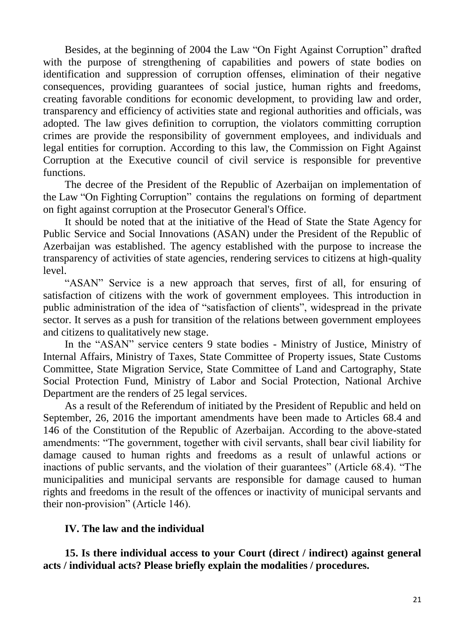Besides, at the beginning of 2004 the Law "On Fight Against Corruption" drafted with the purpose of strengthening of capabilities and powers of state bodies on identification and suppression of corruption offenses, elimination of their negative consequences, providing guarantees of social justice, human rights and freedoms, creating favorable conditions for economic development, to providing law and order, transparency and efficiency of activities state and regional authorities and officials, was adopted. The law gives definition to corruption, the violators committing corruption crimes are provide the responsibility of government employees, and individuals and legal entities for corruption. According to this law, the Commission on Fight Against Corruption at the Executive council of civil service is responsible for preventive functions.

The decree of the President of the Republic of Azerbaijan on implementation of the Law "On Fighting Corruption" contains the regulations on forming of department on fight against corruption at the Prosecutor General's Office.

It should be noted that at the initiative of the Head of State the State Agency for Public Service and Social Innovations (ASAN) under the President of the Republic of Azerbaijan was established. The agency established with the purpose to increase the transparency of activities of state agencies, rendering services to citizens at high-quality level.

"ASAN" Service is a new approach that serves, first of all, for ensuring of satisfaction of citizens with the work of government employees. This introduction in public administration of the idea of "satisfaction of clients", widespread in the private sector. It serves as a push for transition of the relations between government employees and citizens to qualitatively new stage.

In the "ASAN" service centers 9 state bodies - Ministry of Justice, Ministry of Internal Affairs, Ministry of Taxes, State Committee of Property issues, State Customs Committee, State Migration Service, State Committee of Land and Cartography, State Social Protection Fund, Ministry of Labor and Social Protection, National Archive Department are the renders of 25 legal services.

As a result of the Referendum of initiated by the President of Republic and held on September, 26, 2016 the important amendments have been made to Articles 68.4 and 146 of the Constitution of the Republic of Azerbaijan. According to the above-stated amendments: "The government, together with civil servants, shall bear civil liability for damage caused to human rights and freedoms as a result of unlawful actions or inactions of public servants, and the violation of their guarantees" (Article 68.4). "The municipalities and municipal servants are responsible for damage caused to human rights and freedoms in the result of the offences or inactivity of municipal servants and their non-provision" (Article 146).

### **IV. The law and the individual**

**15. Is there individual access to your Court (direct / indirect) against general acts / individual acts? Please briefly explain the modalities / procedures.**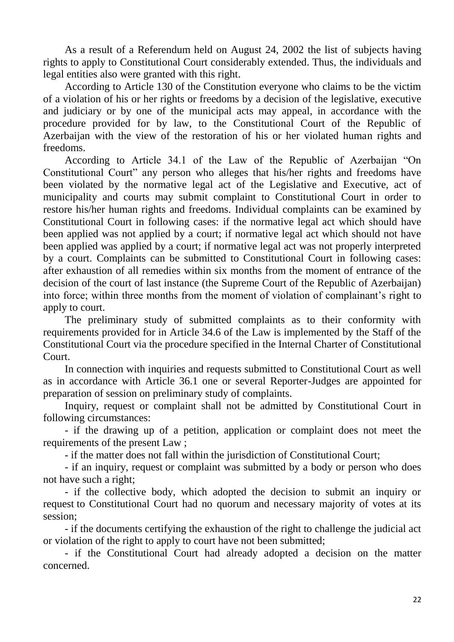As a result of a Referendum held on August 24, 2002 the list of subjects having rights to apply to Constitutional Court considerably extended. Thus, the individuals and legal entities also were granted with this right.

According to Article 130 of the Constitution everyone who claims to be the victim of a violation of his or her rights or freedoms by a decision of the legislative, executive and judiciary or by one of the municipal acts may appeal, in accordance with the procedure provided for by law, to the Constitutional Court of the Republic of Azerbaijan with the view of the restoration of his or her violated human rights and freedoms.

According to Article 34.1 of the Law of the Republic of Azerbaijan "On Constitutional Court" any person who alleges that his/her rights and freedoms have been violated by the normative legal act of the Legislative and Executive, act of municipality and courts may submit complaint to Constitutional Court in order to restore his/her human rights and freedoms. Individual complaints can be examined by Constitutional Court in following cases: if the normative legal act which should have been applied was not applied by a court; if normative legal act which should not have been applied was applied by a court; if normative legal act was not properly interpreted by a court. Complaints can be submitted to Constitutional Court in following cases: after exhaustion of all remedies within six months from the moment of entrance of the decision of the court of last instance (the Supreme Court of the Republic of Azerbaijan) into force; within three months from the moment of violation of complainant's right to apply to court.

The preliminary study of submitted complaints as to their conformity with requirements provided for in Article 34.6 of the Law is implemented by the Staff of the Constitutional Court via the procedure specified in the Internal Charter of Constitutional Court.

In connection with inquiries and requests submitted to Constitutional Court as well as in accordance with Article 36.1 one or several Reporter-Judges are appointed for preparation of session on preliminary study of complaints.

Inquiry, request or complaint shall not be admitted by Constitutional Court in following circumstances:

- if the drawing up of a petition, application or complaint does not meet the requirements of the present Law ;

- if the matter does not fall within the jurisdiction of Constitutional Court;

- if an inquiry, request or complaint was submitted by a body or person who does not have such a right;

- if the collective body, which adopted the decision to submit an inquiry or request to Constitutional Court had no quorum and necessary majority of votes at its session;

- if the documents certifying the exhaustion of the right to challenge the judicial act or violation of the right to apply to court have not been submitted;

- if the Constitutional Court had already adopted a decision on the matter concerned.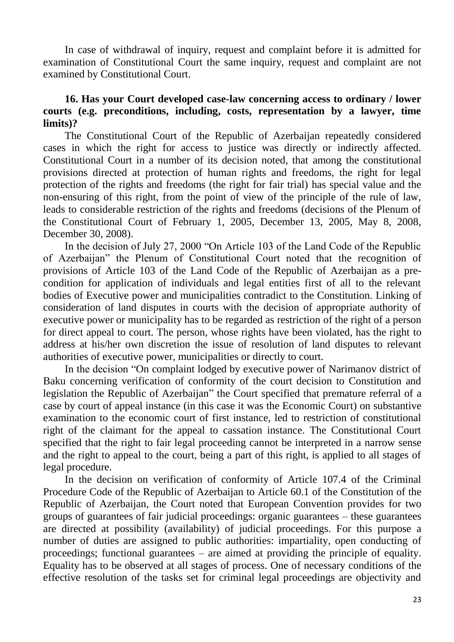In case of withdrawal of inquiry, request and complaint before it is admitted for examination of Constitutional Court the same inquiry, request and complaint are not examined by Constitutional Court.

## **16. Has your Court developed case-law concerning access to ordinary / lower courts (e.g. preconditions, including, costs, representation by a lawyer, time limits)?**

The Constitutional Court of the Republic of Azerbaijan repeatedly considered cases in which the right for access to justice was directly or indirectly affected. Constitutional Court in a number of its decision noted, that among the constitutional provisions directed at protection of human rights and freedoms, the right for legal protection of the rights and freedoms (the right for fair trial) has special value and the non-ensuring of this right, from the point of view of the principle of the rule of law, leads to considerable restriction of the rights and freedoms (decisions of the Plenum of the Constitutional Court of February 1, 2005, December 13, 2005, May 8, 2008, December 30, 2008).

In the decision of July 27, 2000 "On Article 103 of the Land Code of the Republic of Azerbaijan" the Plenum of Constitutional Court noted that the recognition of provisions of Article 103 of the Land Code of the Republic of Azerbaijan as a precondition for application of individuals and legal entities first of all to the relevant bodies of Executive power and municipalities contradict to the Constitution. Linking of consideration of land disputes in courts with the decision of appropriate authority of executive power or municipality has to be regarded as restriction of the right of a person for direct appeal to court. The person, whose rights have been violated, has the right to address at his/her own discretion the issue of resolution of land disputes to relevant authorities of executive power, municipalities or directly to court.

In the decision "On complaint lodged by executive power of Narimanov district of Baku concerning verification of conformity of the court decision to Constitution and legislation the Republic of Azerbaijan" the Court specified that premature referral of a case by court of appeal instance (in this case it was the Economic Court) on substantive examination to the economic court of first instance, led to restriction of constitutional right of the claimant for the appeal to cassation instance. The Constitutional Court specified that the right to fair legal proceeding cannot be interpreted in a narrow sense and the right to appeal to the court, being a part of this right, is applied to all stages of legal procedure.

In the decision on verification of conformity of Article 107.4 of the Criminal Procedure Code of the Republic of Azerbaijan to Article 60.1 of the Constitution of the Republic of Azerbaijan, the Court noted that European Convention provides for two groups of guarantees of fair judicial proceedings: organic guarantees – these guarantees are directed at possibility (availability) of judicial proceedings. For this purpose a number of duties are assigned to public authorities: impartiality, open conducting of proceedings; functional guarantees – are aimed at providing the principle of equality. Equality has to be observed at all stages of process. One of necessary conditions of the effective resolution of the tasks set for criminal legal proceedings are objectivity and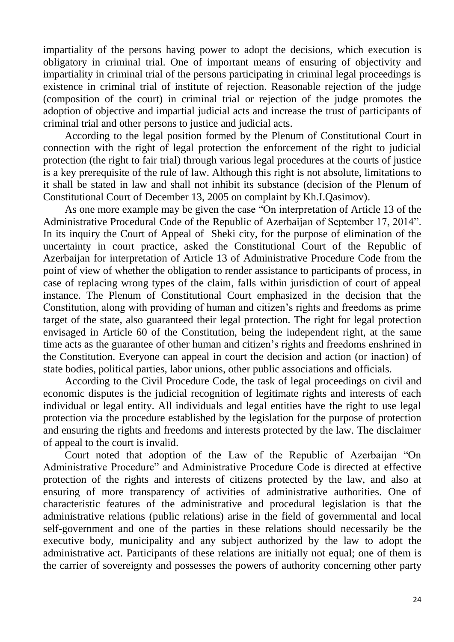impartiality of the persons having power to adopt the decisions, which execution is obligatory in criminal trial. One of important means of ensuring of objectivity and impartiality in criminal trial of the persons participating in criminal legal proceedings is existence in criminal trial of institute of rejection. Reasonable rejection of the judge (composition of the court) in criminal trial or rejection of the judge promotes the adoption of objective and impartial judicial acts and increase the trust of participants of criminal trial and other persons to justice and judicial acts.

According to the legal position formed by the Plenum of Constitutional Court in connection with the right of legal protection the enforcement of the right to judicial protection (the right to fair trial) through various legal procedures at the courts of justice is a key prerequisite of the rule of law. Although this right is not absolute, limitations to it shall be stated in law and shall not inhibit its substance (decision of the Plenum of Constitutional Court of December 13, 2005 on complaint by Kh.I.Qasimov).

As one more example may be given the case "On interpretation of Article 13 of the Administrative Procedural Code of the Republic of Azerbaijan of September 17, 2014". In its inquiry the Court of Appeal of Sheki city, for the purpose of elimination of the uncertainty in court practice, asked the Constitutional Court of the Republic of Azerbaijan for interpretation of Article 13 of Administrative Procedure Code from the point of view of whether the obligation to render assistance to participants of process, in case of replacing wrong types of the claim, falls within jurisdiction of court of appeal instance. The Plenum of Constitutional Court emphasized in the decision that the Constitution, along with providing of human and citizen's rights and freedoms as prime target of the state, also guaranteed their legal protection. The right for legal protection envisaged in Article 60 of the Constitution, being the independent right, at the same time acts as the guarantee of other human and citizen's rights and freedoms enshrined in the Constitution. Everyone can appeal in court the decision and action (or inaction) of state bodies, political parties, labor unions, other public associations and officials.

According to the Civil Procedure Code, the task of legal proceedings on civil and economic disputes is the judicial recognition of legitimate rights and interests of each individual or legal entity. All individuals and legal entities have the right to use legal protection via the procedure established by the legislation for the purpose of protection and ensuring the rights and freedoms and interests protected by the law. The disclaimer of appeal to the court is invalid.

Court noted that adoption of the Law of the Republic of Azerbaijan "On Administrative Procedure" and Administrative Procedure Code is directed at effective protection of the rights and interests of citizens protected by the law, and also at ensuring of more transparency of activities of administrative authorities. One of characteristic features of the administrative and procedural legislation is that the administrative relations (public relations) arise in the field of governmental and local self-government and one of the parties in these relations should necessarily be the executive body, municipality and any subject authorized by the law to adopt the administrative act. Participants of these relations are initially not equal; one of them is the carrier of sovereignty and possesses the powers of authority concerning other party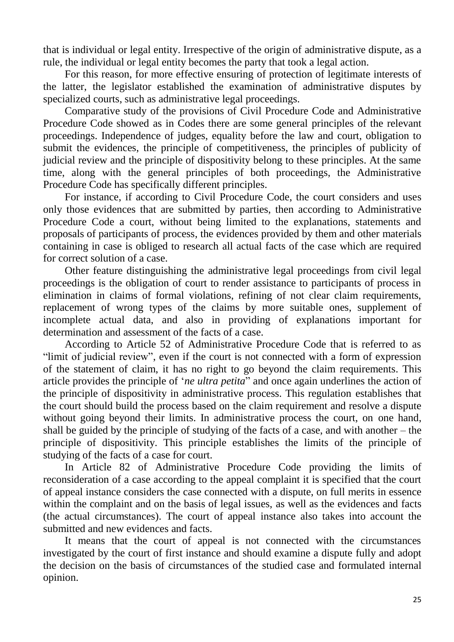that is individual or legal entity. Irrespective of the origin of administrative dispute, as a rule, the individual or legal entity becomes the party that took a legal action.

For this reason, for more effective ensuring of protection of legitimate interests of the latter, the legislator established the examination of administrative disputes by specialized courts, such as administrative legal proceedings.

Comparative study of the provisions of Civil Procedure Code and Administrative Procedure Code showed as in Codes there are some general principles of the relevant proceedings. Independence of judges, equality before the law and court, obligation to submit the evidences, the principle of competitiveness, the principles of publicity of judicial review and the principle of dispositivity belong to these principles. At the same time, along with the general principles of both proceedings, the Administrative Procedure Code has specifically different principles.

For instance, if according to Civil Procedure Code, the court considers and uses only those evidences that are submitted by parties, then according to Administrative Procedure Code a court, without being limited to the explanations, statements and proposals of participants of process, the evidences provided by them and other materials containing in case is obliged to research all actual facts of the case which are required for correct solution of a case.

Other feature distinguishing the administrative legal proceedings from civil legal proceedings is the obligation of court to render assistance to participants of process in elimination in claims of formal violations, refining of not clear claim requirements, replacement of wrong types of the claims by more suitable ones, supplement of incomplete actual data, and also in providing of explanations important for determination and assessment of the facts of a case.

According to Article 52 of Administrative Procedure Code that is referred to as "limit of judicial review", even if the court is not connected with a form of expression of the statement of claim, it has no right to go beyond the claim requirements. This article provides the principle of '*ne ultra petita*" and once again underlines the action of the principle of dispositivity in administrative process. This regulation establishes that the court should build the process based on the claim requirement and resolve a dispute without going beyond their limits. In administrative process the court, on one hand, shall be guided by the principle of studying of the facts of a case, and with another – the principle of dispositivity. This principle establishes the limits of the principle of studying of the facts of a case for court.

In Article 82 of Administrative Procedure Code providing the limits of reconsideration of a case according to the appeal complaint it is specified that the court of appeal instance considers the case connected with a dispute, on full merits in essence within the complaint and on the basis of legal issues, as well as the evidences and facts (the actual circumstances). The court of appeal instance also takes into account the submitted and new evidences and facts.

It means that the court of appeal is not connected with the circumstances investigated by the court of first instance and should examine a dispute fully and adopt the decision on the basis of circumstances of the studied case and formulated internal opinion.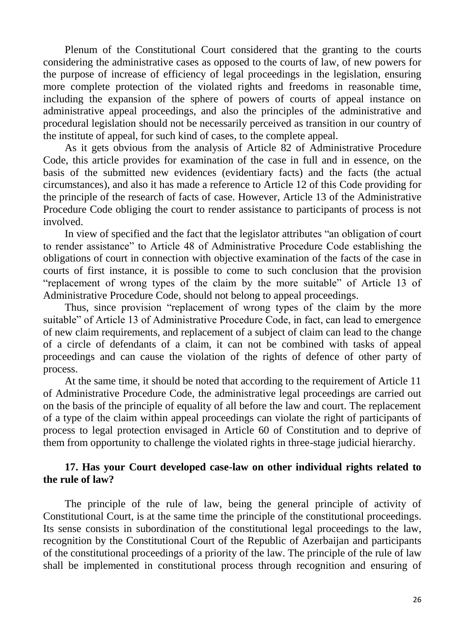Plenum of the Constitutional Court considered that the granting to the courts considering the administrative cases as opposed to the courts of law, of new powers for the purpose of increase of efficiency of legal proceedings in the legislation, ensuring more complete protection of the violated rights and freedoms in reasonable time, including the expansion of the sphere of powers of courts of appeal instance on administrative appeal proceedings, and also the principles of the administrative and procedural legislation should not be necessarily perceived as transition in our country of the institute of appeal, for such kind of cases, to the complete appeal.

As it gets obvious from the analysis of Article 82 of Administrative Procedure Code, this article provides for examination of the case in full and in essence, on the basis of the submitted new evidences (evidentiary facts) and the facts (the actual circumstances), and also it has made a reference to Article 12 of this Code providing for the principle of the research of facts of case. However, Article 13 of the Administrative Procedure Code obliging the court to render assistance to participants of process is not involved.

In view of specified and the fact that the legislator attributes "an obligation of court to render assistance" to Article 48 of Administrative Procedure Code establishing the obligations of court in connection with objective examination of the facts of the case in courts of first instance, it is possible to come to such conclusion that the provision "replacement of wrong types of the claim by the more suitable" of Article 13 of Administrative Procedure Code, should not belong to appeal proceedings.

Thus, since provision "replacement of wrong types of the claim by the more suitable" of Article 13 of Administrative Procedure Code, in fact, can lead to emergence of new claim requirements, and replacement of a subject of claim can lead to the change of a circle of defendants of a claim, it can not be combined with tasks of appeal proceedings and can cause the violation of the rights of defence of other party of process.

At the same time, it should be noted that according to the requirement of Article 11 of Administrative Procedure Code, the administrative legal proceedings are carried out on the basis of the principle of equality of all before the law and court. The replacement of a type of the claim within appeal proceedings can violate the right of participants of process to legal protection envisaged in Article 60 of Constitution and to deprive of them from opportunity to challenge the violated rights in three-stage judicial hierarchy.

### **17. Has your Court developed case-law on other individual rights related to the rule of law?**

The principle of the rule of law, being the general principle of activity of Constitutional Court, is at the same time the principle of the constitutional proceedings. Its sense consists in subordination of the constitutional legal proceedings to the law, recognition by the Constitutional Court of the Republic of Azerbaijan and participants of the constitutional proceedings of a priority of the law. The principle of the rule of law shall be implemented in constitutional process through recognition and ensuring of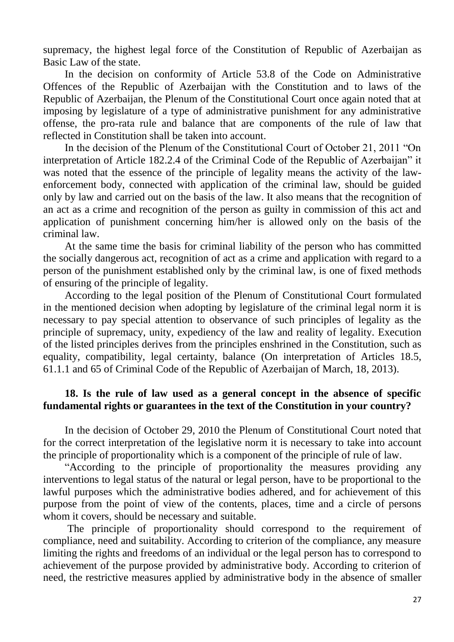supremacy, the highest legal force of the Constitution of Republic of Azerbaijan as Basic Law of the state.

In the decision on conformity of Article 53.8 of the Code on Administrative Offences of the Republic of Azerbaijan with the Constitution and to laws of the Republic of Azerbaijan, the Plenum of the Constitutional Court once again noted that at imposing by legislature of a type of administrative punishment for any administrative offense, the pro-rata rule and balance that are components of the rule of law that reflected in Constitution shall be taken into account.

In the decision of the Plenum of the Constitutional Court of October 21, 2011 "On interpretation of Article 182.2.4 of the Criminal Code of the Republic of Azerbaijan" it was noted that the essence of the principle of legality means the activity of the lawenforcement body, connected with application of the criminal law, should be guided only by law and carried out on the basis of the law. It also means that the recognition of an act as a crime and recognition of the person as guilty in commission of this act and application of punishment concerning him/her is allowed only on the basis of the criminal law.

At the same time the basis for criminal liability of the person who has committed the socially dangerous act, recognition of act as a crime and application with regard to a person of the punishment established only by the criminal law, is one of fixed methods of ensuring of the principle of legality.

According to the legal position of the Plenum of Constitutional Court formulated in the mentioned decision when adopting by legislature of the criminal legal norm it is necessary to pay special attention to observance of such principles of legality as the principle of supremacy, unity, expediency of the law and reality of legality. Execution of the listed principles derives from the principles enshrined in the Constitution, such as equality, compatibility, legal certainty, balance (On interpretation of Articles 18.5, 61.1.1 and 65 of Criminal Code of the Republic of Azerbaijan of March, 18, 2013).

## **18. Is the rule of law used as a general concept in the absence of specific fundamental rights or guarantees in the text of the Constitution in your country?**

In the decision of October 29, 2010 the Plenum of Constitutional Court noted that for the correct interpretation of the legislative norm it is necessary to take into account the principle of proportionality which is a component of the principle of rule of law.

"According to the principle of proportionality the measures providing any interventions to legal status of the natural or legal person, have to be proportional to the lawful purposes which the administrative bodies adhered, and for achievement of this purpose from the point of view of the contents, places, time and a circle of persons whom it covers, should be necessary and suitable.

The principle of proportionality should correspond to the requirement of compliance, need and suitability. According to criterion of the compliance, any measure limiting the rights and freedoms of an individual or the legal person has to correspond to achievement of the purpose provided by administrative body. According to criterion of need, the restrictive measures applied by administrative body in the absence of smaller